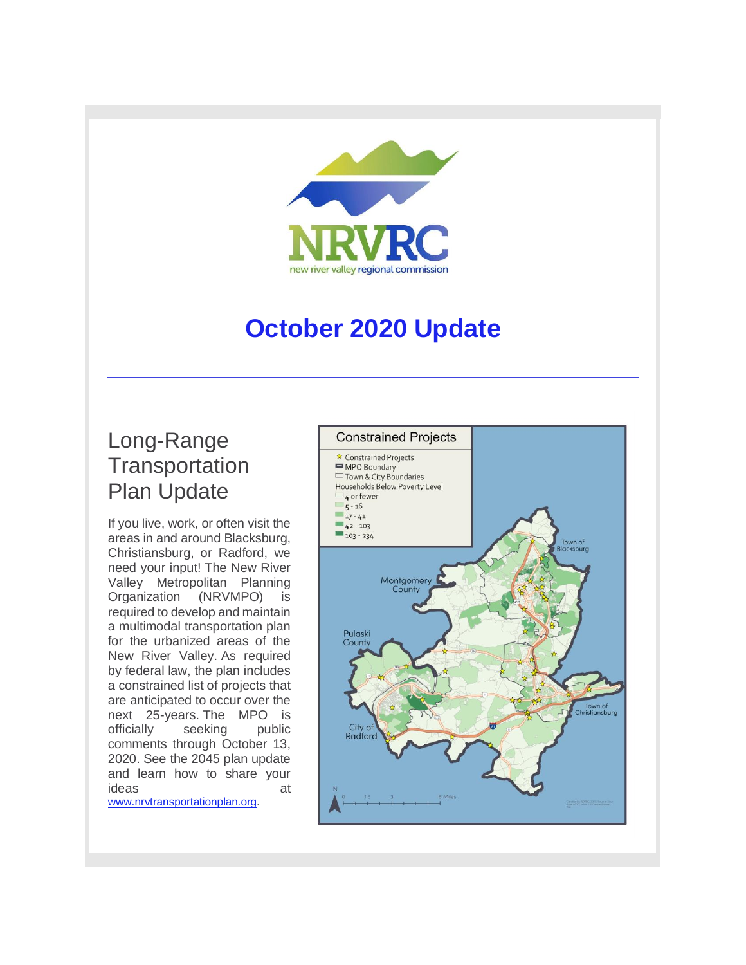

# **October 2020 Update**

## Long-Range **Transportation** Plan Update

If you live, work, or often visit the areas in and around Blacksburg, Christiansburg, or Radford, we need your input! The New River Valley Metropolitan Planning Organization (NRVMPO) is required to develop and maintain a multimodal transportation plan for the urbanized areas of the New River Valley. As required by federal law, the plan includes a constrained list of projects that are anticipated to occur over the next 25-years. The MPO is officially seeking public comments through October 13, 2020. See the 2045 plan update and learn how to share your ideas at

[www.nrvtransportationplan.org.](http://r20.rs6.net/tn.jsp?f=001SQ3ISY4kHS87M0frRLWjWgVmZuikyAz81PgiIZKGeJuiiJVUa4iZBAzKLHlp4yFQVRlEjlj4RBS5870bYnOnxpGWaGz1_RzM94zNaFHWZ_2oqqUaUUDvWF2957eB5PWHs_hMIrwueqZ4Mw1Me51pSylvdJvzv8qf&c=0klewRZUVFOMqh9GX_RaW0dDTkHsbFNt0B7aFRDyFFAF8NimJiDAFA==&ch=1No2DzZyFkN_Vj7iclTj61pZftTPyxlelFfz_zZFU_cOAjSIhc8XKA==)

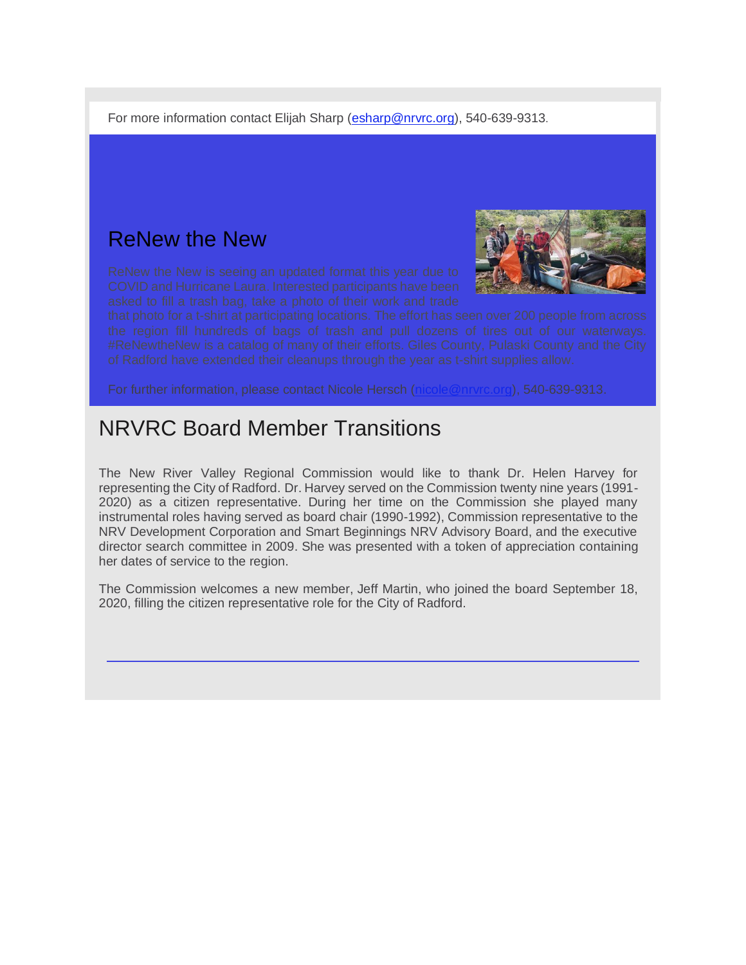For more information contact Elijah Sharp [\(esharp@nrvrc.org\)](mailto:esharp@nrvrc.org), 540-639-9313.

### ReNew the New



#### NRVRC Board Member Transitions

The New River Valley Regional Commission would like to thank Dr. Helen Harvey for representing the City of Radford. Dr. Harvey served on the Commission twenty nine years (1991- 2020) as a citizen representative. During her time on the Commission she played many instrumental roles having served as board chair (1990-1992), Commission representative to the NRV Development Corporation and Smart Beginnings NRV Advisory Board, and the executive director search committee in 2009. She was presented with a token of appreciation containing her dates of service to the region.

The Commission welcomes a new member, Jeff Martin, who joined the board September 18, 2020, filling the citizen representative role for the City of Radford.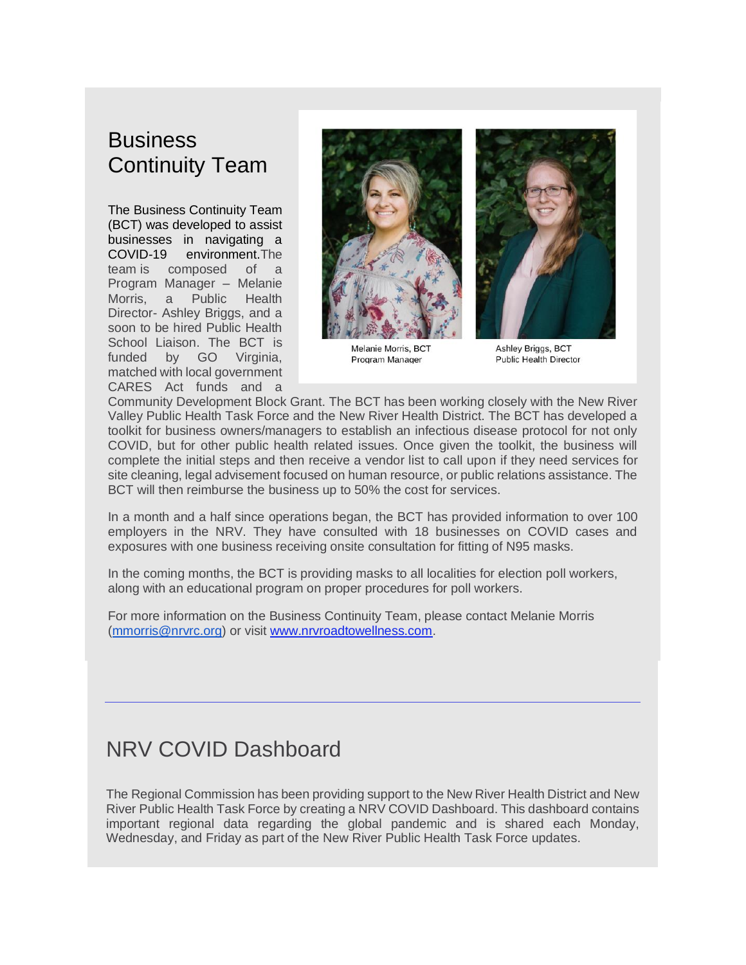## **Business** Continuity Team

The Business Continuity Team (BCT) was developed to assist businesses in navigating a COVID-19 environment.The team is composed of a Program Manager – Melanie Morris, a Public Health Director- Ashley Briggs, and a soon to be hired Public Health School Liaison. The BCT is funded by GO Virginia. matched with local government CARES Act funds and a



Melanie Morris, BCT Program Manager



**Ashley Briggs, BCT Public Health Director** 

Community Development Block Grant. The BCT has been working closely with the New River Valley Public Health Task Force and the New River Health District. The BCT has developed a toolkit for business owners/managers to establish an infectious disease protocol for not only COVID, but for other public health related issues. Once given the toolkit, the business will complete the initial steps and then receive a vendor list to call upon if they need services for site cleaning, legal advisement focused on human resource, or public relations assistance. The BCT will then reimburse the business up to 50% the cost for services.

In a month and a half since operations began, the BCT has provided information to over 100 employers in the NRV. They have consulted with 18 businesses on COVID cases and exposures with one business receiving onsite consultation for fitting of N95 masks.

In the coming months, the BCT is providing masks to all localities for election poll workers, along with an educational program on proper procedures for poll workers.

For more information on the Business Continuity Team, please contact Melanie Morris [\(mmorris@nrvrc.org\)](mailto:mmorris@nrvrc.org) or visit [www.nrvroadtowellness.com.](http://r20.rs6.net/tn.jsp?f=001SQ3ISY4kHS87M0frRLWjWgVmZuikyAz81PgiIZKGeJuiiJVUa4iZBAC-JAXel70Inbd8cgG_Y9gYo8L7XXf6zA5io69DEbOLC-qZvlLBfvpbxOQXRT69MXWD5IMVUa7Uf94FP0AoIWbPYeAtJ7L6mXIZi9thNhHn&c=0klewRZUVFOMqh9GX_RaW0dDTkHsbFNt0B7aFRDyFFAF8NimJiDAFA==&ch=1No2DzZyFkN_Vj7iclTj61pZftTPyxlelFfz_zZFU_cOAjSIhc8XKA==)

## NRV COVID Dashboard

The Regional Commission has been providing support to the New River Health District and New River Public Health Task Force by creating a NRV COVID Dashboard. This dashboard contains important regional data regarding the global pandemic and is shared each Monday, Wednesday, and Friday as part of the New River Public Health Task Force updates.